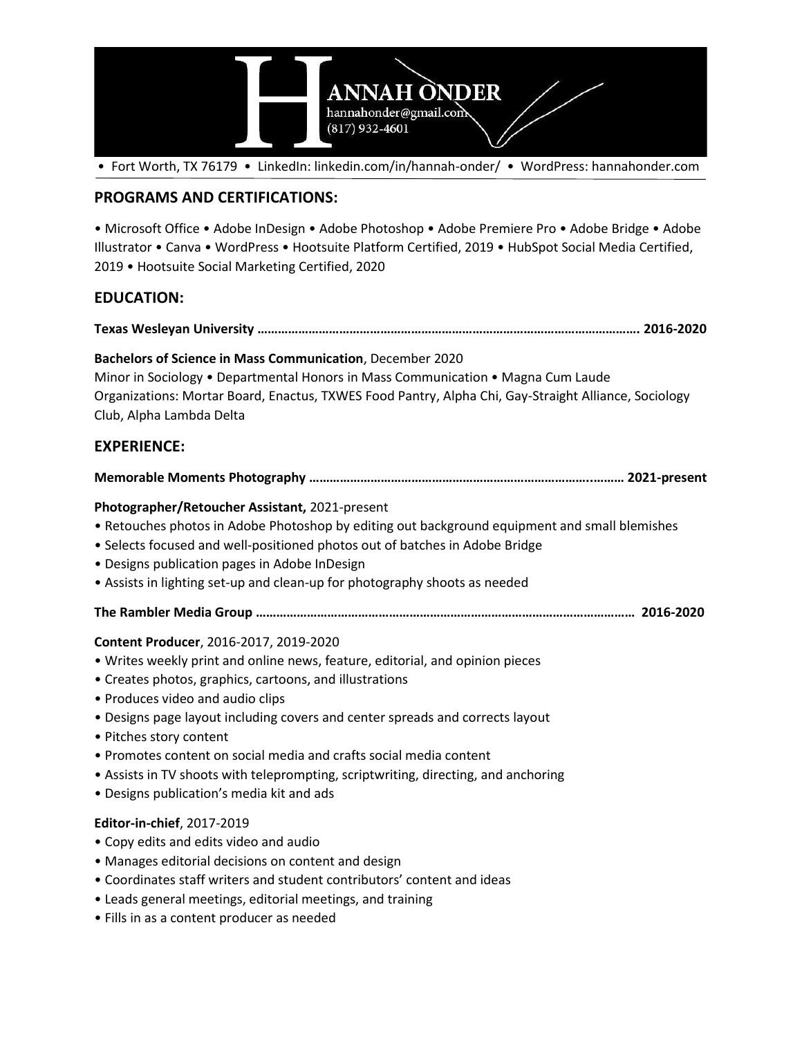

• Fort Worth, TX 76179 • LinkedIn: linkedin.com/in/hannah-onder/ • WordPress: hannahonder.com

## **PROGRAMS AND CERTIFICATIONS:**

• Microsoft Office • Adobe InDesign • Adobe Photoshop • Adobe Premiere Pro • Adobe Bridge • Adobe Illustrator • Canva • WordPress • Hootsuite Platform Certified, 2019 • HubSpot Social Media Certified, 2019 • Hootsuite Social Marketing Certified, 2020

# **EDUCATION:**

**Texas Wesleyan University …………………………………………………………………………………………………. 2016-2020**

### **Bachelors of Science in Mass Communication**, December 2020

Minor in Sociology • Departmental Honors in Mass Communication • Magna Cum Laude Organizations: Mortar Board, Enactus, TXWES Food Pantry, Alpha Chi, Gay-Straight Alliance, Sociology Club, Alpha Lambda Delta

# **EXPERIENCE:**

#### **Memorable Moments Photography ………………………………………………………………………..……… 2021-present**

### **Photographer/Retoucher Assistant,** 2021-present

- Retouches photos in Adobe Photoshop by editing out background equipment and small blemishes
- Selects focused and well-positioned photos out of batches in Adobe Bridge
- Designs publication pages in Adobe InDesign
- Assists in lighting set-up and clean-up for photography shoots as needed
- **The Rambler Media Group ………………………………………………………………………………………………… 2016-2020**

### **Content Producer**, 2016-2017, 2019-2020

- Writes weekly print and online news, feature, editorial, and opinion pieces
- Creates photos, graphics, cartoons, and illustrations
- Produces video and audio clips
- Designs page layout including covers and center spreads and corrects layout
- Pitches story content
- Promotes content on social media and crafts social media content
- Assists in TV shoots with teleprompting, scriptwriting, directing, and anchoring
- Designs publication's media kit and ads

### **Editor-in-chief**, 2017-2019

- Copy edits and edits video and audio
- Manages editorial decisions on content and design
- Coordinates staff writers and student contributors' content and ideas
- Leads general meetings, editorial meetings, and training
- Fills in as a content producer as needed